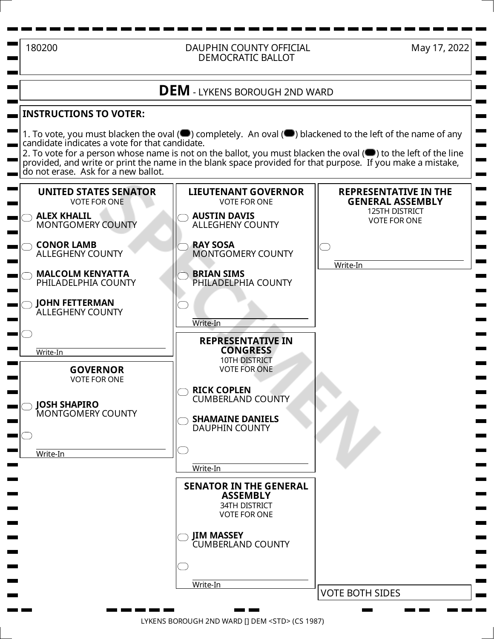## 180200 DAUPHIN COUNTY OFFICIAL DEMOCRATIC BALLOT

May 17, 2022

## **DEM** - LYKENS BOROUGH 2ND WARD

## **INSTRUCTIONS TO VOTER:**

1. To vote, you must blacken the oval ( $\blacksquare$ ) completely. An oval ( $\blacksquare$ ) blackened to the left of the name of any candidate indicates a vote for that candidate.

2. To vote for a person whose name is not on the ballot, you must blacken the oval ( $\blacksquare$ ) to the left of the line provided, and write or print the name in the blank space provided for that purpose. If you make a mistake, do not erase. Ask for a new ballot.

| <b>UNITED STATES SENATOR</b><br><b>VOTE FOR ONE</b> | <b>LIEUTENANT GOVERNOR</b><br><b>VOTE FOR ONE</b>                                               | <b>REPRESENTATIVE IN THE</b><br><b>GENERAL ASSEMBLY</b> |
|-----------------------------------------------------|-------------------------------------------------------------------------------------------------|---------------------------------------------------------|
| <b>ALEX KHALIL</b><br><b>MONTGOMERY COUNTY</b>      | 125TH DISTRICT<br><b>AUSTIN DAVIS</b><br><b>VOTE FOR ONE</b><br><b>ALLEGHENY COUNTY</b>         |                                                         |
| <b>CONOR LAMB</b><br><b>ALLEGHENY COUNTY</b>        | <b>RAY SOSA</b><br><b>MONTGOMERY COUNTY</b>                                                     |                                                         |
| <b>MALCOLM KENYATTA</b><br>PHILADELPHIA COUNTY      | <b>BRIAN SIMS</b><br>PHILADELPHIA COUNTY                                                        | Write-In                                                |
| <b>JOHN FETTERMAN</b><br>ALLEGHENY COUNTY           |                                                                                                 |                                                         |
|                                                     | Write-In<br><b>REPRESENTATIVE IN</b><br><b>CONGRESS</b>                                         |                                                         |
| Write-In<br><b>GOVERNOR</b><br><b>VOTE FOR ONE</b>  | 10TH DISTRICT<br><b>VOTE FOR ONE</b>                                                            |                                                         |
| <b>JOSH SHAPIRO</b><br>MONTGOMERY COUNTY            | <b>RICK COPLEN</b><br><b>CUMBERLAND COUNTY</b>                                                  |                                                         |
|                                                     | <b>SHAMAINE DANIELS</b><br><b>DAUPHIN COUNTY</b>                                                |                                                         |
| Write-In                                            | Write-In                                                                                        |                                                         |
|                                                     | <b>SENATOR IN THE GENERAL</b><br><b>ASSEMBLY</b><br><b>34TH DISTRICT</b><br><b>VOTE FOR ONE</b> |                                                         |
|                                                     | <b>JIM MASSEY</b><br><b>CUMBERLAND COUNTY</b>                                                   |                                                         |
|                                                     | Write-In                                                                                        |                                                         |
|                                                     |                                                                                                 | <b>VOTE BOTH SIDES</b>                                  |